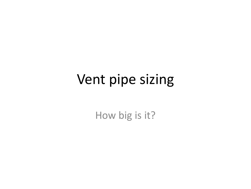How big is it?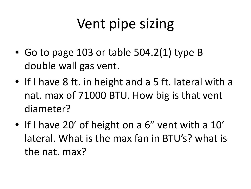- Go to page 103 or table 504.2(1) type B double wall gas vent.
- If I have 8 ft. in height and a 5 ft. lateral with a nat. max of 71000 BTU. How big is that vent diameter?
- If I have 20' of height on a 6" vent with a 10' lateral. What is the max fan in BTU's? what is the nat. max?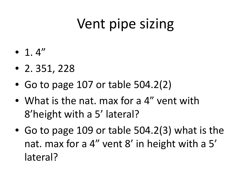- $\bullet$  1.4"
- 2. 351, 228
- Go to page 107 or table 504.2(2)
- What is the nat. max for a 4" vent with 8'height with a 5' lateral?
- Go to page 109 or table 504.2(3) what is the nat. max for a 4" vent 8' in height with a 5' lateral?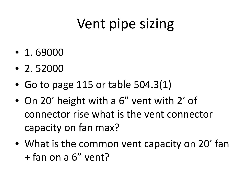- 1. 69000
- 2. 52000
- Go to page 115 or table 504.3(1)
- On 20' height with a 6" vent with 2' of connector rise what is the vent connector capacity on fan max?
- What is the common vent capacity on 20' fan + fan on a 6" vent?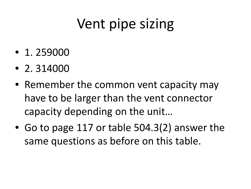- 1. 259000
- 2. 314000
- Remember the common vent capacity may have to be larger than the vent connector capacity depending on the unit…
- Go to page 117 or table 504.3(2) answer the same questions as before on this table.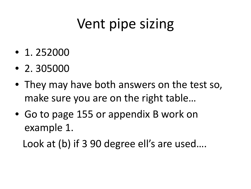- 1. 252000
- 2. 305000
- They may have both answers on the test so, make sure you are on the right table…
- Go to page 155 or appendix B work on example 1.

Look at (b) if 3 90 degree ell's are used....